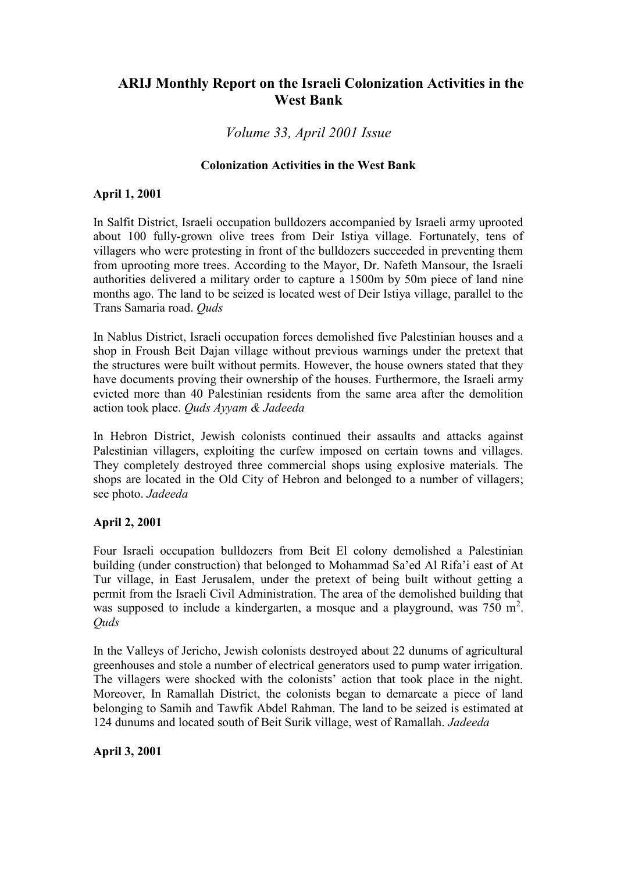# **ARIJ Monthly Report on the Israeli Colonization Activities in the West Bank**

## *Volume 33, April 2001 Issue*

#### **Colonization Activities in the West Bank**

#### **April 1, 2001**

In Salfit District, Israeli occupation bulldozers accompanied by Israeli army uprooted about 100 fully-grown olive trees from Deir Istiya village. Fortunately, tens of villagers who were protesting in front of the bulldozers succeeded in preventing them from uprooting more trees. According to the Mayor, Dr. Nafeth Mansour, the Israeli authorities delivered a military order to capture a 1500m by 50m piece of land nine months ago. The land to be seized is located west of Deir Istiya village, parallel to the Trans Samaria road. *Quds*

In Nablus District, Israeli occupation forces demolished five Palestinian houses and a shop in Froush Beit Dajan village without previous warnings under the pretext that the structures were built without permits. However, the house owners stated that they have documents proving their ownership of the houses. Furthermore, the Israeli army evicted more than 40 Palestinian residents from the same area after the demolition action took place. *Quds Ayyam & Jadeeda*

In Hebron District, Jewish colonists continued their assaults and attacks against Palestinian villagers, exploiting the curfew imposed on certain towns and villages. They completely destroyed three commercial shops using explosive materials. The shops are located in the Old City of Hebron and belonged to a number of villagers; see photo. *Jadeeda*

## **April 2, 2001**

Four Israeli occupation bulldozers from Beit El colony demolished a Palestinian building (under construction) that belonged to Mohammad Sa'ed Al Rifa'i east of At Tur village, in East Jerusalem, under the pretext of being built without getting a permit from the Israeli Civil Administration. The area of the demolished building that was supposed to include a kindergarten, a mosque and a playground, was  $750 \text{ m}^2$ . *Quds*

In the Valleys of Jericho, Jewish colonists destroyed about 22 dunums of agricultural greenhouses and stole a number of electrical generators used to pump water irrigation. The villagers were shocked with the colonists' action that took place in the night. Moreover, In Ramallah District, the colonists began to demarcate a piece of land belonging to Samih and Tawfik Abdel Rahman. The land to be seized is estimated at 124 dunums and located south of Beit Surik village, west of Ramallah. *Jadeeda*

**April 3, 2001**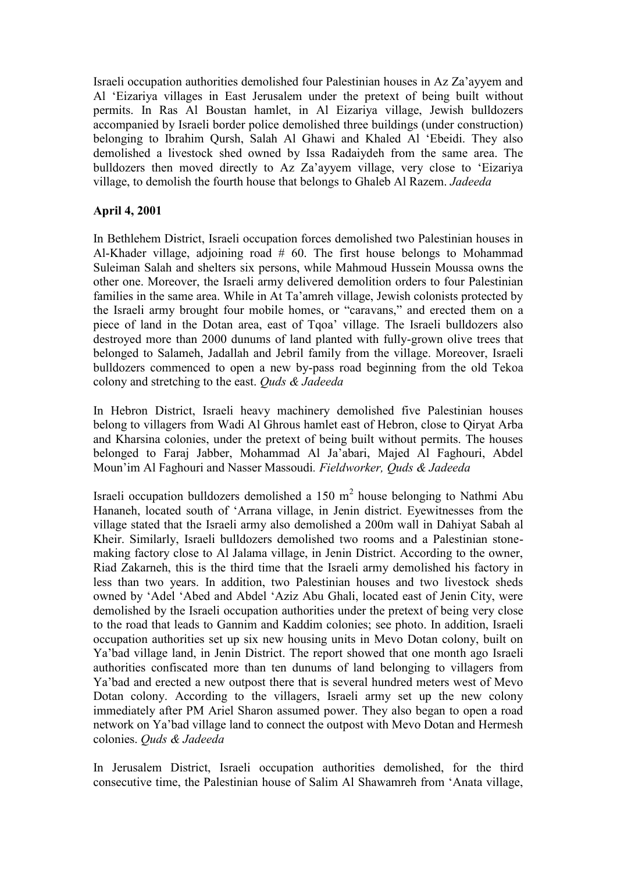Israeli occupation authorities demolished four Palestinian houses in Az Za'ayyem and Al 'Eizariya villages in East Jerusalem under the pretext of being built without permits. In Ras Al Boustan hamlet, in Al Eizariya village, Jewish bulldozers accompanied by Israeli border police demolished three buildings (under construction) belonging to Ibrahim Qursh, Salah Al Ghawi and Khaled Al 'Ebeidi. They also demolished a livestock shed owned by Issa Radaiydeh from the same area. The bulldozers then moved directly to Az Za'ayyem village, very close to 'Eizariya village, to demolish the fourth house that belongs to Ghaleb Al Razem. *Jadeeda*

## **April 4, 2001**

In Bethlehem District, Israeli occupation forces demolished two Palestinian houses in Al-Khader village, adjoining road  $# 60$ . The first house belongs to Mohammad Suleiman Salah and shelters six persons, while Mahmoud Hussein Moussa owns the other one. Moreover, the Israeli army delivered demolition orders to four Palestinian families in the same area. While in At Ta'amreh village, Jewish colonists protected by the Israeli army brought four mobile homes, or "caravans," and erected them on a piece of land in the Dotan area, east of Tqoa' village. The Israeli bulldozers also destroyed more than 2000 dunums of land planted with fully-grown olive trees that belonged to Salameh, Jadallah and Jebril family from the village. Moreover, Israeli bulldozers commenced to open a new by-pass road beginning from the old Tekoa colony and stretching to the east. *Quds & Jadeeda*

In Hebron District, Israeli heavy machinery demolished five Palestinian houses belong to villagers from Wadi Al Ghrous hamlet east of Hebron, close to Qiryat Arba and Kharsina colonies, under the pretext of being built without permits. The houses belonged to Faraj Jabber, Mohammad Al Ja'abari, Majed Al Faghouri, Abdel Moun'im Al Faghouri and Nasser Massoudi*. Fieldworker, Quds & Jadeeda*

Israeli occupation bulldozers demolished a 150  $m<sup>2</sup>$  house belonging to Nathmi Abu Hananeh, located south of 'Arrana village, in Jenin district. Eyewitnesses from the village stated that the Israeli army also demolished a 200m wall in Dahiyat Sabah al Kheir. Similarly, Israeli bulldozers demolished two rooms and a Palestinian stone making factory close to Al Jalama village, in Jenin District. According to the owner, Riad Zakarneh, this is the third time that the Israeli army demolished his factory in less than two years. In addition, two Palestinian houses and two livestock sheds owned by 'Adel 'Abed and Abdel 'Aziz Abu Ghali, located east of Jenin City, were demolished by the Israeli occupation authorities under the pretext of being very close to the road that leads to Gannim and Kaddim colonies; see photo. In addition, Israeli occupation authorities set up six new housing units in Mevo Dotan colony, built on Ya'bad village land, in Jenin District. The report showed that one month ago Israeli authorities confiscated more than ten dunums of land belonging to villagers from Ya'bad and erected a new outpost there that is several hundred meters west of Mevo Dotan colony. According to the villagers, Israeli army set up the new colony immediately after PM Ariel Sharon assumed power. They also began to open a road network on Ya'bad village land to connect the outpost with Mevo Dotan and Hermesh colonies. *Quds & Jadeeda*

In Jerusalem District, Israeli occupation authorities demolished, for the third consecutive time, the Palestinian house of Salim Al Shawamreh from 'Anata village,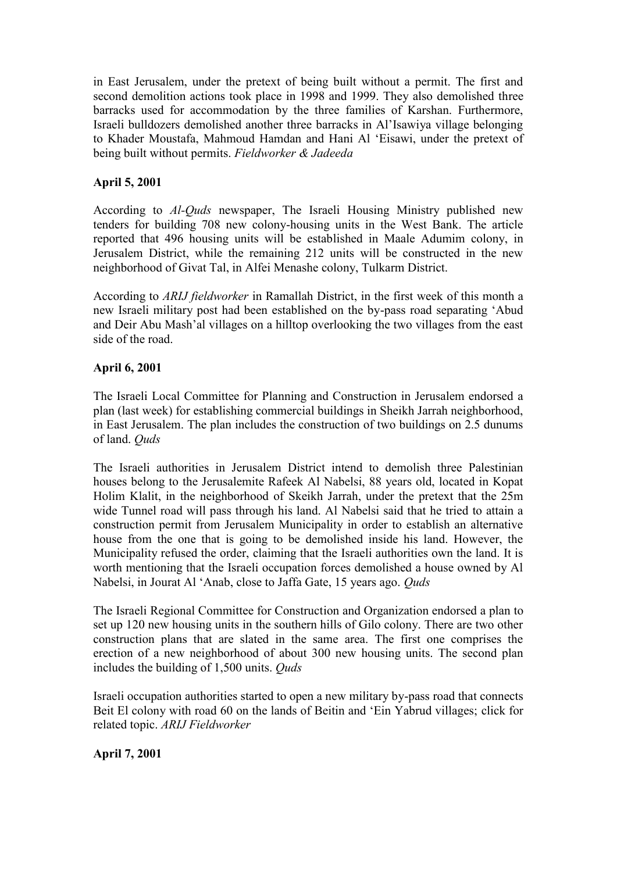in East Jerusalem, under the pretext of being built without a permit. The first and second demolition actions took place in 1998 and 1999. They also demolished three barracks used for accommodation by the three families of Karshan. Furthermore, Israeli bulldozers demolished another three barracks in Al'Isawiya village belonging to Khader Moustafa, Mahmoud Hamdan and Hani Al 'Eisawi, under the pretext of being built without permits. *Fieldworker & Jadeeda*

## **April 5, 2001**

According to *Al-Quds* newspaper, The Israeli Housing Ministry published new tenders for building 708 new colony-housing units in the West Bank. The article reported that 496 housing units will be established in Maale Adumim colony, in Jerusalem District, while the remaining 212 units will be constructed in the new neighborhood of Givat Tal, in Alfei Menashe colony, Tulkarm District.

According to *ARIJ fieldworker* in Ramallah District, in the first week of this month a new Israeli military post had been established on the by-pass road separating 'Abud and Deir Abu Mash'al villages on a hilltop overlooking the two villages from the east side of the road.

## **April 6, 2001**

The Israeli Local Committee for Planning and Construction in Jerusalem endorsed a plan (last week) for establishing commercial buildings in Sheikh Jarrah neighborhood, in East Jerusalem. The plan includes the construction of two buildings on 2.5 dunums of land. *Quds*

The Israeli authorities in Jerusalem District intend to demolish three Palestinian houses belong to the Jerusalemite Rafeek Al Nabelsi, 88 years old, located in Kopat Holim Klalit, in the neighborhood of Skeikh Jarrah, under the pretext that the 25m wide Tunnel road will pass through his land. Al Nabelsi said that he tried to attain a construction permit from Jerusalem Municipality in order to establish an alternative house from the one that is going to be demolished inside his land. However, the Municipality refused the order, claiming that the Israeli authorities own the land. It is worth mentioning that the Israeli occupation forces demolished a house owned by Al Nabelsi, in Jourat Al 'Anab, close to Jaffa Gate, 15 years ago. *Quds*

The Israeli Regional Committee for Construction and Organization endorsed a plan to set up 120 new housing units in the southern hills of Gilo colony. There are two other construction plans that are slated in the same area. The first one comprises the erection of a new neighborhood of about 300 new housing units. The second plan includes the building of 1,500 units. *Quds*

Israeli occupation authorities started to open a new military by-pass road that connects Beit El colony with road 60 on the lands of Beitin and 'Ein Yabrud villages; click for related topic. *ARIJ Fieldworker*

**April 7, 2001**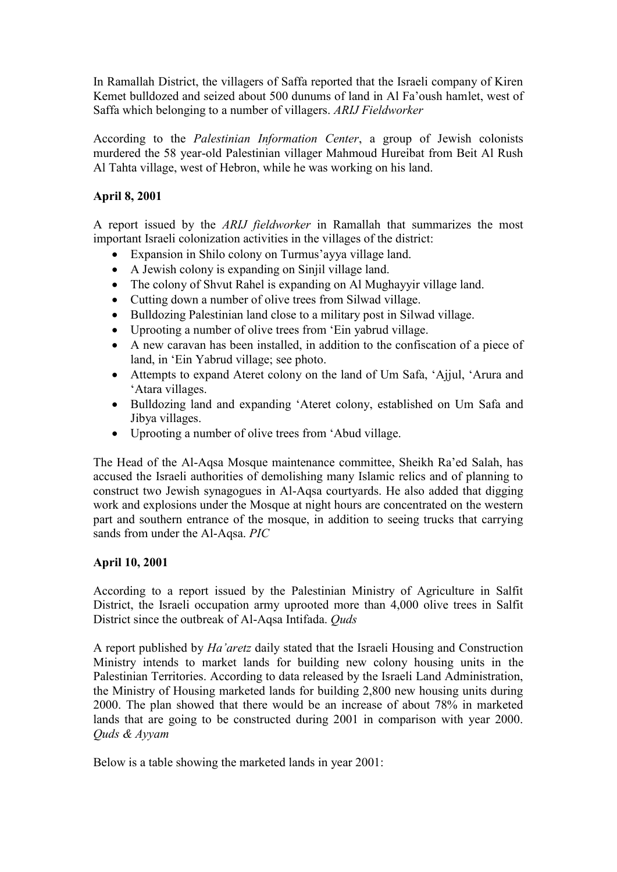In Ramallah District, the villagers of Saffa reported that the Israeli company of Kiren Kemet bulldozed and seized about 500 dunums of land in Al Fa'oush hamlet, west of Saffa which belonging to a number of villagers. *ARIJ Fieldworker*

According to the *Palestinian Information Center*, a group of Jewish colonists murdered the 58 year-old Palestinian villager Mahmoud Hureibat from Beit Al Rush Al Tahta village, west of Hebron, while he was working on his land.

## **April 8, 2001**

A report issued by the *ARIJ fieldworker* in Ramallah that summarizes the most important Israeli colonization activities in the villages of the district:

- Expansion in Shilo colony on Turmus'ayya village land.
- A Jewish colony is expanding on Sinjil village land.
- The colony of Shvut Rahel is expanding on Al Mughayyir village land.
- Cutting down a number of olive trees from Silwad village.
- Bulldozing Palestinian land close to a military post in Silwad village.
- Uprooting a number of olive trees from 'Ein yabrud village.
- A new caravan has been installed, in addition to the confiscation of a piece of land, in 'Ein Yabrud village; see photo.
- Attempts to expand Ateret colony on the land of Um Safa, 'Ajjul, 'Arura and 'Atara villages.
- Bulldozing land and expanding 'Ateret colony, established on Um Safa and Jibya villages.
- Uprooting a number of olive trees from 'Abud village.

The Head of the Al-Aqsa Mosque maintenance committee, Sheikh Ra'ed Salah, has accused the Israeli authorities of demolishing many Islamic relics and of planning to construct two Jewish synagogues in Al-Aqsa courtyards. He also added that digging work and explosions under the Mosque at night hours are concentrated on the western part and southern entrance of the mosque, in addition to seeing trucks that carrying sands from under the Al-Aqsa. *PIC*

## **April 10, 2001**

According to a report issued by the Palestinian Ministry of Agriculture in Salfit District, the Israeli occupation army uprooted more than 4,000 olive trees in Salfit District since the outbreak of Al-Aqsa Intifada. *Quds*

A report published by *Ha'aretz* daily stated that the Israeli Housing and Construction Ministry intends to market lands for building new colony housing units in the Palestinian Territories. According to data released by the Israeli Land Administration, the Ministry of Housing marketed lands for building 2,800 new housing units during 2000. The plan showed that there would be an increase of about 78% in marketed lands that are going to be constructed during 2001 in comparison with year 2000. *Quds & Ayyam*

Below is a table showing the marketed lands in year 2001: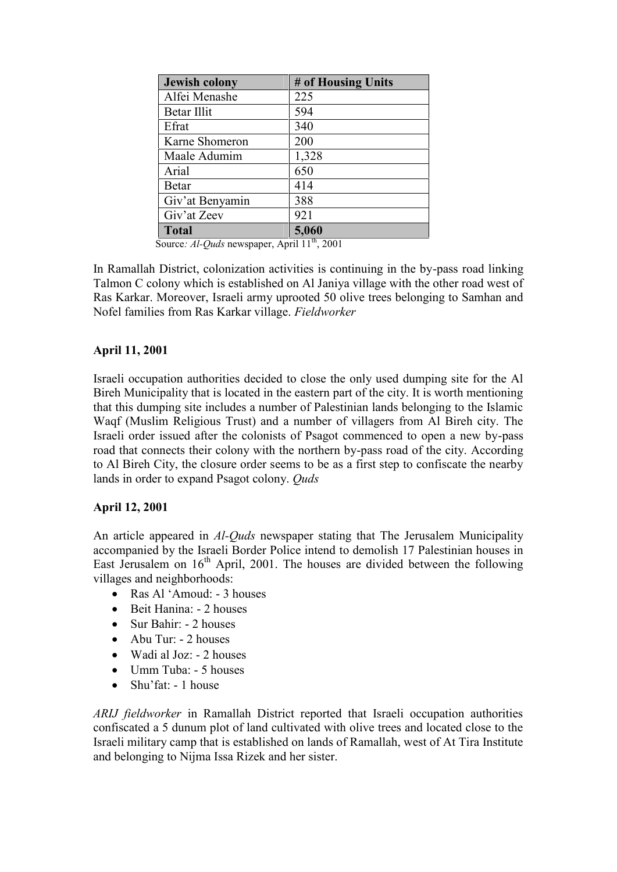| <b>Jewish colony</b> | # of Housing Units |
|----------------------|--------------------|
| Alfei Menashe        | 225                |
| Betar Illit          | 594                |
| Efrat                | 340                |
| Karne Shomeron       | 200                |
| Maale Adumim         | 1,328              |
| Arial                | 650                |
| Betar                | 414                |
| Giv'at Benyamin      | 388                |
| Giv'at Zeev          | 921                |
| <b>Total</b>         | 5,060              |

Source: *Al-Quds* newspaper, April 11<sup>th</sup>, 2001

In Ramallah District, colonization activities is continuing in the by-pass road linking Talmon C colony which is established on Al Janiya village with the other road west of Ras Karkar. Moreover, Israeli army uprooted 50 olive trees belonging to Samhan and Nofel families from Ras Karkar village. *Fieldworker*

## **April 11, 2001**

Israeli occupation authorities decided to close the only used dumping site for the Al Bireh Municipality that is located in the eastern part of the city. It is worth mentioning that this dumping site includes a number of Palestinian lands belonging to the Islamic Waqf (Muslim Religious Trust) and a number of villagers from Al Bireh city. The Israeli order issued after the colonists of Psagot commenced to open a new by-pass road that connects their colony with the northern by-pass road of the city. According to Al Bireh City, the closure order seems to be as a first step to confiscate the nearby lands in order to expand Psagot colony. *Quds*

# **April 12, 2001**

An article appeared in *Al-Quds* newspaper stating that The Jerusalem Municipality accompanied by the Israeli Border Police intend to demolish 17 Palestinian houses in East Jerusalem on  $16<sup>th</sup>$  April, 2001. The houses are divided between the following villages and neighborhoods:

- Ras Al 'Amoud: 3 houses
- Beit Hanina: 2 houses
- Sur Bahir: 2 houses
- Abu Tur: 2 houses
- Wadi al Joz: 2 houses
- Umm Tuba: 5 houses
- Shu'fat: 1 house

*ARIJ fieldworker* in Ramallah District reported that Israeli occupation authorities confiscated a 5 dunum plot of land cultivated with olive trees and located close to the Israeli military camp that is established on lands of Ramallah, west of At Tira Institute and belonging to Nijma Issa Rizek and her sister.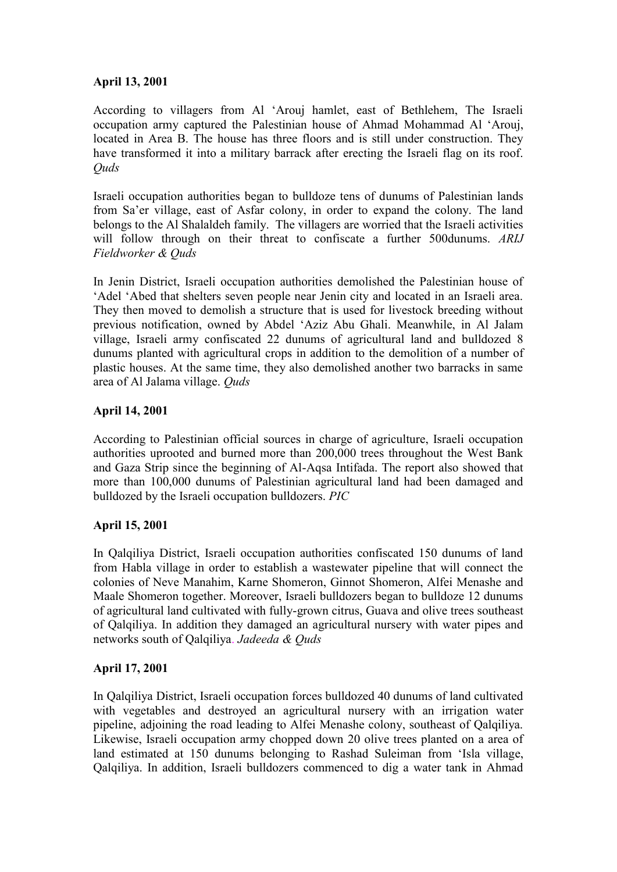## **April 13, 2001**

According to villagers from Al 'Arouj hamlet, east of Bethlehem, The Israeli occupation army captured the Palestinian house of Ahmad Mohammad Al 'Arouj, located in Area B. The house has three floors and is still under construction. They have transformed it into a military barrack after erecting the Israeli flag on its roof. *Quds*

Israeli occupation authorities began to bulldoze tens of dunums of Palestinian lands from Sa'er village, east of Asfar colony, in order to expand the colony. The land belongs to the Al Shalaldeh family. The villagers are worried that the Israeli activities will follow through on their threat to confiscate a further 500dunums. *ARIJ Fieldworker & Quds*

In Jenin District, Israeli occupation authorities demolished the Palestinian house of 'Adel 'Abed that shelters seven people near Jenin city and located in an Israeli area. They then moved to demolish a structure that is used for livestock breeding without previous notification, owned by Abdel 'Aziz Abu Ghali. Meanwhile, in Al Jalam village, Israeli army confiscated 22 dunums of agricultural land and bulldozed 8 dunums planted with agricultural crops in addition to the demolition of a number of plastic houses. At the same time, they also demolished another two barracks in same area of Al Jalama village. *Quds*

#### **April 14, 2001**

According to Palestinian official sources in charge of agriculture, Israeli occupation authorities uprooted and burned more than 200,000 trees throughout the West Bank and Gaza Strip since the beginning of Al-Aqsa Intifada. The report also showed that more than 100,000 dunums of Palestinian agricultural land had been damaged and bulldozed by the Israeli occupation bulldozers. *PIC*

## **April 15, 2001**

In Qalqiliya District, Israeli occupation authorities confiscated 150 dunums of land from Habla village in order to establish a wastewater pipeline that will connect the colonies of Neve Manahim, Karne Shomeron, Ginnot Shomeron, Alfei Menashe and Maale Shomeron together. Moreover, Israeli bulldozers began to bulldoze 12 dunums of agricultural land cultivated with fully-grown citrus, Guava and olive trees southeast of Qalqiliya. In addition they damaged an agricultural nursery with water pipes and networks south of Qalqiliya. *Jadeeda & Quds*

## **April 17, 2001**

In Qalqiliya District, Israeli occupation forces bulldozed 40 dunums of land cultivated with vegetables and destroyed an agricultural nursery with an irrigation water pipeline, adjoining the road leading to Alfei Menashe colony, southeast of Qalqiliya. Likewise, Israeli occupation army chopped down 20 olive trees planted on a area of land estimated at 150 dunums belonging to Rashad Suleiman from 'Isla village, Qalqiliya. In addition, Israeli bulldozers commenced to dig a water tank in Ahmad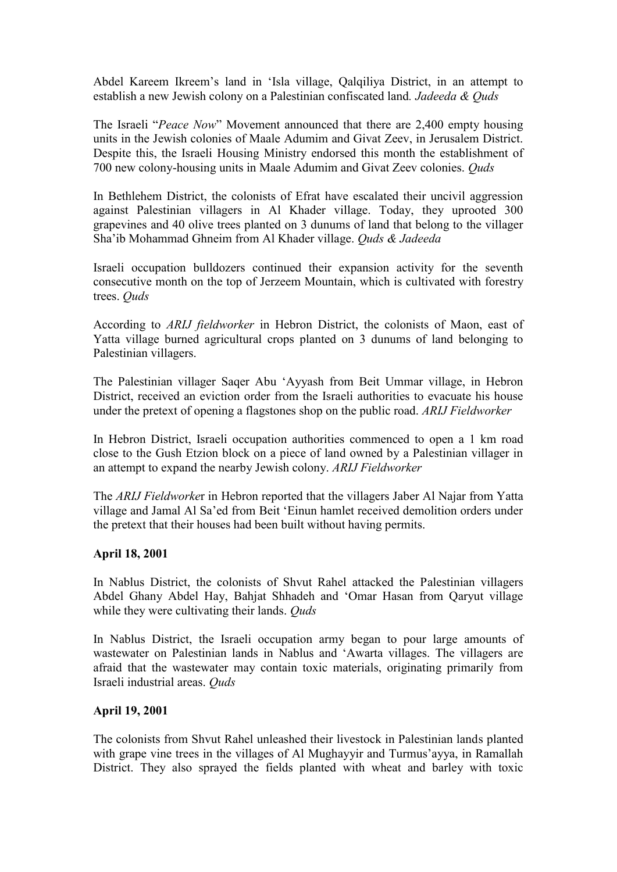Abdel Kareem Ikreem's land in 'Isla village, Qalqiliya District, in an attempt to establish a new Jewish colony on a Palestinian confiscated land*. Jadeeda & Quds*

The Israeli "*Peace Now*" Movement announced that there are 2,400 empty housing units in the Jewish colonies of Maale Adumim and Givat Zeev, in Jerusalem District. Despite this, the Israeli Housing Ministry endorsed this month the establishment of 700 new colony-housing units in Maale Adumim and Givat Zeev colonies. *Quds*

In Bethlehem District, the colonists of Efrat have escalated their uncivil aggression against Palestinian villagers in Al Khader village. Today, they uprooted 300 grapevines and 40 olive trees planted on 3 dunums of land that belong to the villager Sha'ib Mohammad Ghneim from Al Khader village. *Quds & Jadeeda*

Israeli occupation bulldozers continued their expansion activity for the seventh consecutive month on the top of Jerzeem Mountain, which is cultivated with forestry trees. *Quds*

According to *ARIJ fieldworker* in Hebron District, the colonists of Maon, east of Yatta village burned agricultural crops planted on 3 dunums of land belonging to Palestinian villagers.

The Palestinian villager Saqer Abu 'Ayyash from Beit Ummar village, in Hebron District, received an eviction order from the Israeli authorities to evacuate his house under the pretext of opening a flagstones shop on the public road. *ARIJ Fieldworker*

In Hebron District, Israeli occupation authorities commenced to open a 1 km road close to the Gush Etzion block on a piece of land owned by a Palestinian villager in an attempt to expand the nearby Jewish colony. *ARIJ Fieldworker*

The *ARIJ Fieldworke*r in Hebron reported that the villagers Jaber Al Najar from Yatta village and Jamal Al Sa'ed from Beit 'Einun hamlet received demolition orders under the pretext that their houses had been built without having permits.

#### **April 18, 2001**

In Nablus District, the colonists of Shvut Rahel attacked the Palestinian villagers Abdel Ghany Abdel Hay, Bahjat Shhadeh and 'Omar Hasan from Qaryut village while they were cultivating their lands. *Quds*

In Nablus District, the Israeli occupation army began to pour large amounts of wastewater on Palestinian lands in Nablus and 'Awarta villages. The villagers are afraid that the wastewater may contain toxic materials, originating primarily from Israeli industrial areas. *Quds*

#### **April 19, 2001**

The colonists from Shvut Rahel unleashed their livestock in Palestinian lands planted with grape vine trees in the villages of Al Mughayyir and Turmus'ayya, in Ramallah District. They also sprayed the fields planted with wheat and barley with toxic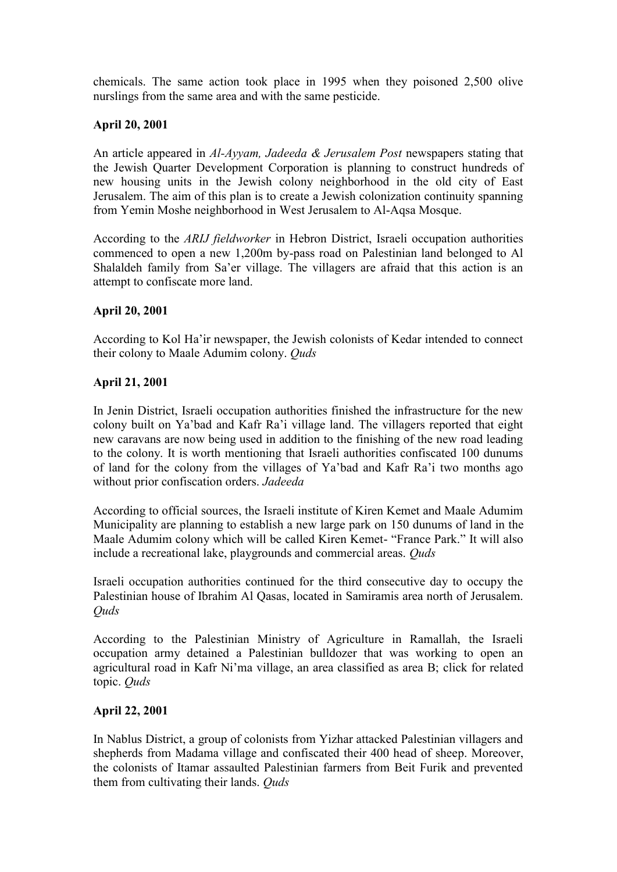chemicals. The same action took place in 1995 when they poisoned 2,500 olive nurslings from the same area and with the same pesticide.

## **April 20, 2001**

An article appeared in *Al-Ayyam, Jadeeda & Jerusalem Post* newspapers stating that the Jewish Quarter Development Corporation is planning to construct hundreds of new housing units in the Jewish colony neighborhood in the old city of East Jerusalem. The aim of this plan is to create a Jewish colonization continuity spanning from Yemin Moshe neighborhood in West Jerusalem to Al-Aqsa Mosque.

According to the *ARIJ fieldworker* in Hebron District, Israeli occupation authorities commenced to open a new 1,200m by-pass road on Palestinian land belonged to Al Shalaldeh family from Sa'er village. The villagers are afraid that this action is an attempt to confiscate more land.

## **April 20, 2001**

According to Kol Ha'ir newspaper, the Jewish colonists of Kedar intended to connect their colony to Maale Adumim colony. *Quds*

## **April 21, 2001**

In Jenin District, Israeli occupation authorities finished the infrastructure for the new colony built on Ya'bad and Kafr Ra'i village land. The villagers reported that eight new caravans are now being used in addition to the finishing of the new road leading to the colony. It is worth mentioning that Israeli authorities confiscated 100 dunums of land for the colony from the villages of Ya'bad and Kafr Ra'i two months ago without prior confiscation orders. *Jadeeda*

According to official sources, the Israeli institute of Kiren Kemet and Maale Adumim Municipality are planning to establish a new large park on 150 dunums of land in the Maale Adumim colony which will be called Kiren Kemet- "France Park." It will also include a recreational lake, playgrounds and commercial areas. *Quds*

Israeli occupation authorities continued for the third consecutive day to occupy the Palestinian house of Ibrahim Al Qasas, located in Samiramis area north of Jerusalem. *Quds*

According to the Palestinian Ministry of Agriculture in Ramallah, the Israeli occupation army detained a Palestinian bulldozer that was working to open an agricultural road in Kafr Ni'ma village, an area classified as area B; click for related topic. *Quds*

## **April 22, 2001**

In Nablus District, a group of colonists from Yizhar attacked Palestinian villagers and shepherds from Madama village and confiscated their 400 head of sheep. Moreover, the colonists of Itamar assaulted Palestinian farmers from Beit Furik and prevented them from cultivating their lands. *Quds*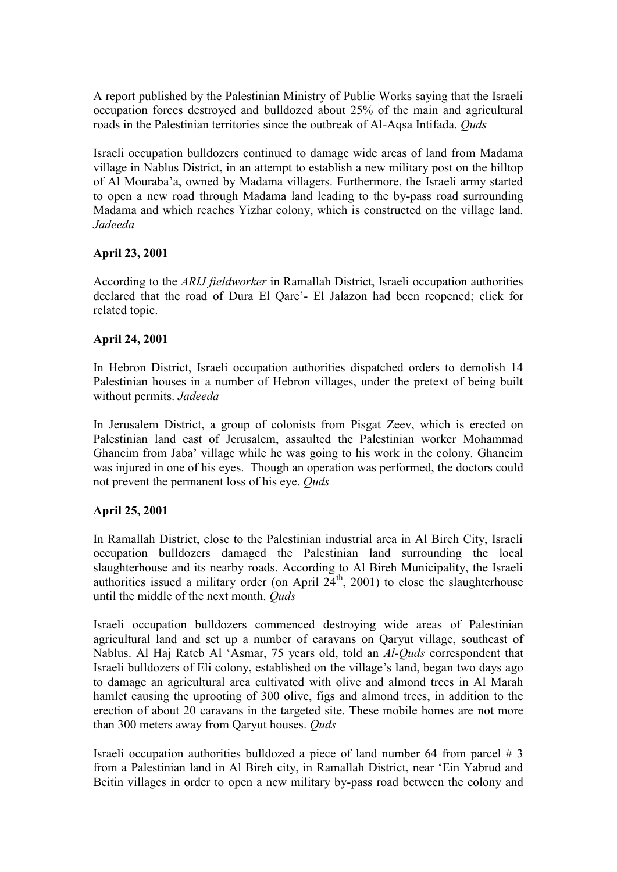A report published by the Palestinian Ministry of Public Works saying that the Israeli occupation forces destroyed and bulldozed about 25% of the main and agricultural roads in the Palestinian territories since the outbreak of Al-Aqsa Intifada. *Quds*

Israeli occupation bulldozers continued to damage wide areas of land from Madama village in Nablus District, in an attempt to establish a new military post on the hilltop of Al Mouraba'a, owned by Madama villagers. Furthermore, the Israeli army started to open a new road through Madama land leading to the by-pass road surrounding Madama and which reaches Yizhar colony, which is constructed on the village land. *Jadeeda*

#### **April 23, 2001**

According to the *ARIJ fieldworker* in Ramallah District, Israeli occupation authorities declared that the road of Dura El Qare'- El Jalazon had been reopened; click for related topic.

#### **April 24, 2001**

In Hebron District, Israeli occupation authorities dispatched orders to demolish 14 Palestinian houses in a number of Hebron villages, under the pretext of being built without permits. *Jadeeda*

In Jerusalem District, a group of colonists from Pisgat Zeev, which is erected on Palestinian land east of Jerusalem, assaulted the Palestinian worker Mohammad Ghaneim from Jaba' village while he was going to his work in the colony. Ghaneim was injured in one of his eyes. Though an operation was performed, the doctors could not prevent the permanent loss of his eye. *Quds*

## **April 25, 2001**

In Ramallah District, close to the Palestinian industrial area in Al Bireh City, Israeli occupation bulldozers damaged the Palestinian land surrounding the local slaughterhouse and its nearby roads. According to Al Bireh Municipality, the Israeli authorities issued a military order (on April  $24<sup>th</sup>$ , 2001) to close the slaughterhouse until the middle of the next month. *Quds*

Israeli occupation bulldozers commenced destroying wide areas of Palestinian agricultural land and set up a number of caravans on Qaryut village, southeast of Nablus. Al Haj Rateb Al 'Asmar, 75 years old, told an *Al-Quds* correspondent that Israeli bulldozers of Eli colony, established on the village's land, began two days ago to damage an agricultural area cultivated with olive and almond trees in Al Marah hamlet causing the uprooting of 300 olive, figs and almond trees, in addition to the erection of about 20 caravans in the targeted site. These mobile homes are not more than 300 meters away from Qaryut houses. *Quds*

Israeli occupation authorities bulldozed a piece of land number 64 from parcel # 3 from a Palestinian land in Al Bireh city, in Ramallah District, near 'Ein Yabrud and Beitin villages in order to open a new military by-pass road between the colony and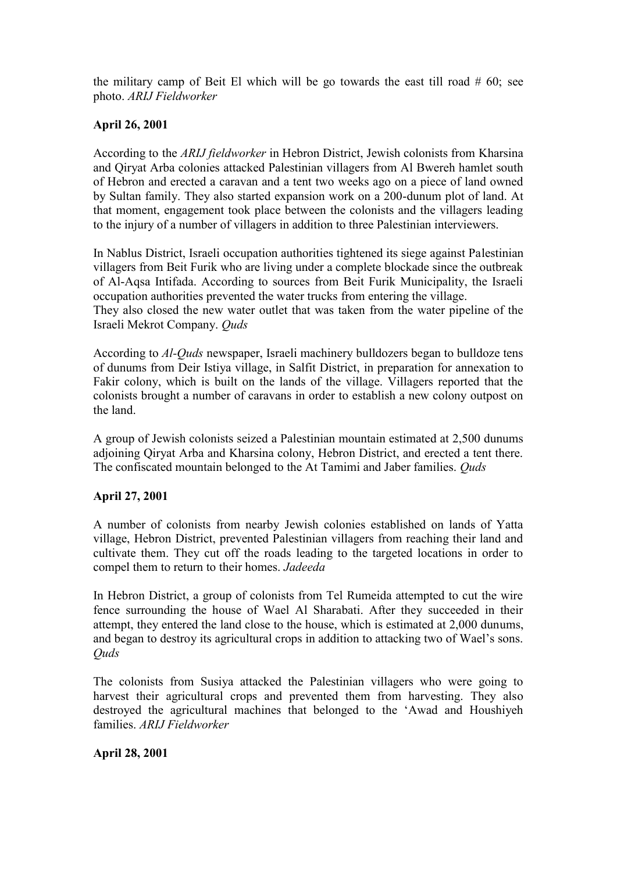the military camp of Beit El which will be go towards the east till road  $#60$ ; see photo. *ARIJ Fieldworker*

## **April 26, 2001**

According to the *ARIJ fieldworker* in Hebron District, Jewish colonists from Kharsina and Qiryat Arba colonies attacked Palestinian villagers from Al Bwereh hamlet south of Hebron and erected a caravan and a tent two weeks ago on a piece of land owned by Sultan family. They also started expansion work on a 200-dunum plot of land. At that moment, engagement took place between the colonists and the villagers leading to the injury of a number of villagers in addition to three Palestinian interviewers.

In Nablus District, Israeli occupation authorities tightened its siege against Palestinian villagers from Beit Furik who are living under a complete blockade since the outbreak of Al-Aqsa Intifada. According to sources from Beit Furik Municipality, the Israeli occupation authorities prevented the water trucks from entering the village.

They also closed the new water outlet that was taken from the water pipeline of the Israeli Mekrot Company. *Quds*

According to *Al-Quds* newspaper, Israeli machinery bulldozers began to bulldoze tens of dunums from Deir Istiya village, in Salfit District, in preparation for annexation to Fakir colony, which is built on the lands of the village. Villagers reported that the colonists brought a number of caravans in order to establish a new colony outpost on the land.

A group of Jewish colonists seized a Palestinian mountain estimated at 2,500 dunums adjoining Qiryat Arba and Kharsina colony, Hebron District, and erected a tent there. The confiscated mountain belonged to the At Tamimi and Jaber families. *Quds*

## **April 27, 2001**

A number of colonists from nearby Jewish colonies established on lands of Yatta village, Hebron District, prevented Palestinian villagers from reaching their land and cultivate them. They cut off the roads leading to the targeted locations in order to compel them to return to their homes. *Jadeeda*

In Hebron District, a group of colonists from Tel Rumeida attempted to cut the wire fence surrounding the house of Wael Al Sharabati. After they succeeded in their attempt, they entered the land close to the house, which is estimated at 2,000 dunums, and began to destroy its agricultural crops in addition to attacking two of Wael's sons. *Quds*

The colonists from Susiya attacked the Palestinian villagers who were going to harvest their agricultural crops and prevented them from harvesting. They also destroyed the agricultural machines that belonged to the 'Awad and Houshiyeh families. *ARIJ Fieldworker*

## **April 28, 2001**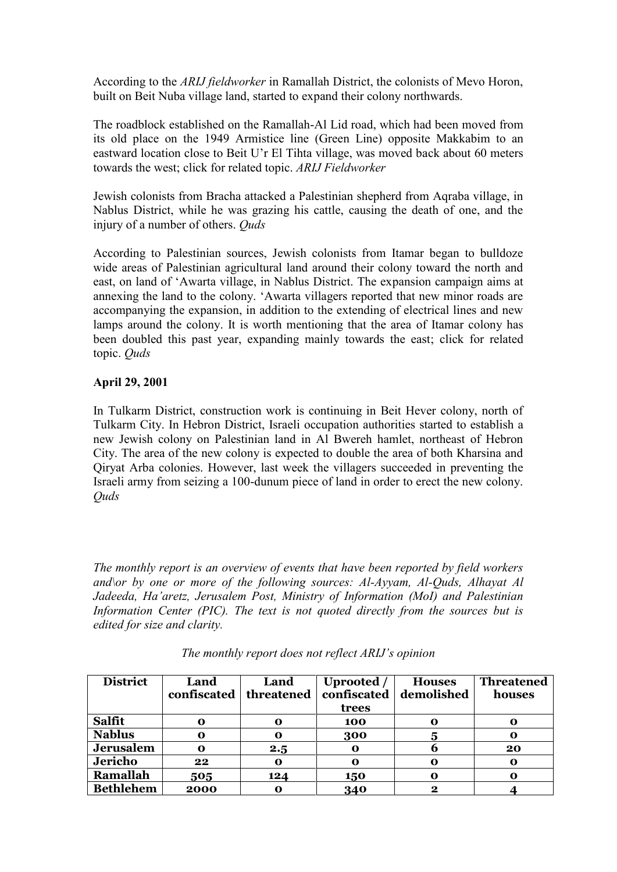According to the *ARIJ fieldworker* in Ramallah District, the colonists of Mevo Horon, built on Beit Nuba village land, started to expand their colony northwards.

The roadblock established on the Ramallah-Al Lid road, which had been moved from its old place on the 1949 Armistice line (Green Line) opposite Makkabim to an eastward location close to Beit U'r El Tihta village, was moved back about 60 meters towards the west; click for related topic. *ARIJ Fieldworker*

Jewish colonists from Bracha attacked a Palestinian shepherd from Aqraba village, in Nablus District, while he was grazing his cattle, causing the death of one, and the injury of a number of others. *Quds*

According to Palestinian sources, Jewish colonists from Itamar began to bulldoze wide areas of Palestinian agricultural land around their colony toward the north and east, on land of 'Awarta village, in Nablus District. The expansion campaign aims at annexing the land to the colony. 'Awarta villagers reported that new minor roads are accompanying the expansion, in addition to the extending of electrical lines and new lamps around the colony. It is worth mentioning that the area of Itamar colony has been doubled this past year, expanding mainly towards the east; click for related topic. *Quds*

## **April 29, 2001**

In Tulkarm District, construction work is continuing in Beit Hever colony, north of Tulkarm City. In Hebron District, Israeli occupation authorities started to establish a new Jewish colony on Palestinian land in Al Bwereh hamlet, northeast of Hebron City. The area of the new colony is expected to double the area of both Kharsina and Qiryat Arba colonies. However, last week the villagers succeeded in preventing the Israeli army from seizing a 100-dunum piece of land in order to erect the new colony. *Quds*

*The monthly report is an overview of events that have been reported by field workers and\or by one or more of the following sources: Al-Ayyam, Al-Quds, Alhayat Al Jadeeda, Ha'aretz, Jerusalem Post, Ministry of Information (MoI) and Palestinian Information Center (PIC). The text is not quoted directly from the sources but is edited for size and clarity.*

| <b>District</b>  | Land<br>confiscated | Land<br>threatened | Uprooted /<br>confiscated<br>trees | <b>Houses</b><br>demolished | <b>Threatened</b><br>houses |
|------------------|---------------------|--------------------|------------------------------------|-----------------------------|-----------------------------|
| Salfit           | O                   | $\mathbf o$        | 100                                | 0                           | o                           |
| <b>Nablus</b>    | O                   | O                  | 300                                | 5                           | О                           |
| <b>Jerusalem</b> | o                   | 2.5                | $\mathbf o$                        | b                           | 20                          |
| Jericho          | 22                  | $\mathbf o$        | $\mathbf o$                        | 0                           | $\mathbf o$                 |
| Ramallah         | 505                 | 124                | 150                                | O                           | o                           |
| <b>Bethlehem</b> | 2000                | 0                  | 340                                | 2                           |                             |

*The monthly report does not reflect ARIJ's opinion*